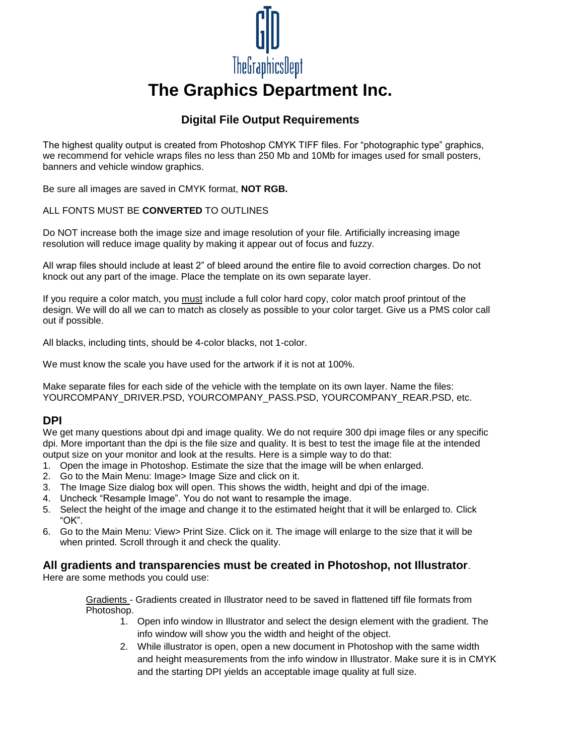

# **The Graphics Department Inc.**

## **Digital File Output Requirements**

The highest quality output is created from Photoshop CMYK TIFF files. For "photographic type" graphics, we recommend for vehicle wraps files no less than 250 Mb and 10Mb for images used for small posters, banners and vehicle window graphics.

Be sure all images are saved in CMYK format, **NOT RGB.**

#### ALL FONTS MUST BE **CONVERTED** TO OUTLINES

Do NOT increase both the image size and image resolution of your file. Artificially increasing image resolution will reduce image quality by making it appear out of focus and fuzzy.

All wrap files should include at least 2" of bleed around the entire file to avoid correction charges. Do not knock out any part of the image. Place the template on its own separate layer.

If you require a color match, you must include a full color hard copy, color match proof printout of the design. We will do all we can to match as closely as possible to your color target. Give us a PMS color call out if possible.

All blacks, including tints, should be 4-color blacks, not 1-color.

We must know the scale you have used for the artwork if it is not at 100%.

Make separate files for each side of the vehicle with the template on its own layer. Name the files: YOURCOMPANY\_DRIVER.PSD, YOURCOMPANY\_PASS.PSD, YOURCOMPANY\_REAR.PSD, etc.

#### **DPI**

We get many questions about dpi and image quality. We do not require 300 dpi image files or any specific dpi. More important than the dpi is the file size and quality. It is best to test the image file at the intended output size on your monitor and look at the results. Here is a simple way to do that:

- 1. Open the image in Photoshop. Estimate the size that the image will be when enlarged.
- 2. Go to the Main Menu: Image> Image Size and click on it.
- 3. The Image Size dialog box will open. This shows the width, height and dpi of the image.
- 4. Uncheck "Resample Image". You do not want to resample the image.
- 5. Select the height of the image and change it to the estimated height that it will be enlarged to. Click "OK".
- 6. Go to the Main Menu: View> Print Size. Click on it. The image will enlarge to the size that it will be when printed. Scroll through it and check the quality.

## **All gradients and transparencies must be created in Photoshop, not Illustrator**.

Here are some methods you could use:

Gradients - Gradients created in Illustrator need to be saved in flattened tiff file formats from Photoshop.

- 1. Open info window in Illustrator and select the design element with the gradient. The info window will show you the width and height of the object.
- 2. While illustrator is open, open a new document in Photoshop with the same width and height measurements from the info window in Illustrator. Make sure it is in CMYK and the starting DPI yields an acceptable image quality at full size.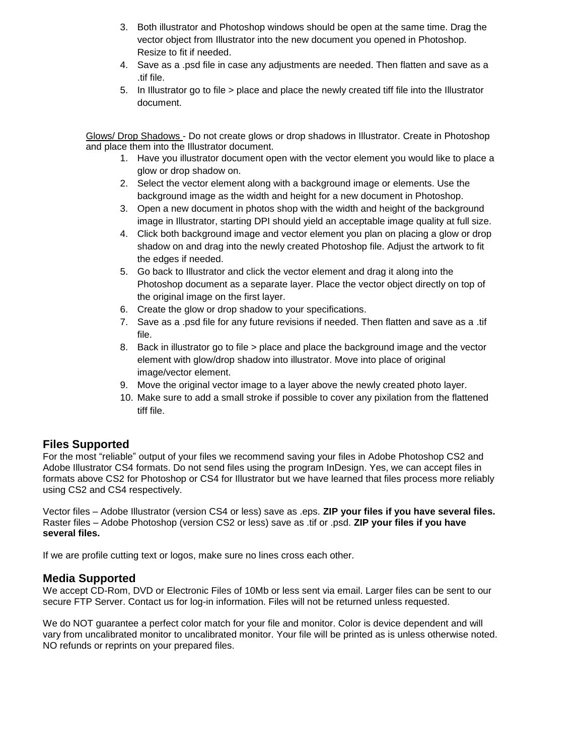- 3. Both illustrator and Photoshop windows should be open at the same time. Drag the vector object from Illustrator into the new document you opened in Photoshop. Resize to fit if needed.
- 4. Save as a .psd file in case any adjustments are needed. Then flatten and save as a .tif file.
- 5. In Illustrator go to file > place and place the newly created tiff file into the Illustrator document.

Glows/ Drop Shadows - Do not create glows or drop shadows in Illustrator. Create in Photoshop and place them into the Illustrator document.

- 1. Have you illustrator document open with the vector element you would like to place a glow or drop shadow on.
- 2. Select the vector element along with a background image or elements. Use the background image as the width and height for a new document in Photoshop.
- 3. Open a new document in photos shop with the width and height of the background image in Illustrator, starting DPI should yield an acceptable image quality at full size.
- 4. Click both background image and vector element you plan on placing a glow or drop shadow on and drag into the newly created Photoshop file. Adjust the artwork to fit the edges if needed.
- 5. Go back to Illustrator and click the vector element and drag it along into the Photoshop document as a separate layer. Place the vector object directly on top of the original image on the first layer.
- 6. Create the glow or drop shadow to your specifications.
- 7. Save as a .psd file for any future revisions if needed. Then flatten and save as a .tif file.
- 8. Back in illustrator go to file > place and place the background image and the vector element with glow/drop shadow into illustrator. Move into place of original image/vector element.
- 9. Move the original vector image to a layer above the newly created photo layer.
- 10. Make sure to add a small stroke if possible to cover any pixilation from the flattened tiff file.

## **Files Supported**

For the most "reliable" output of your files we recommend saving your files in Adobe Photoshop CS2 and Adobe Illustrator CS4 formats. Do not send files using the program InDesign. Yes, we can accept files in formats above CS2 for Photoshop or CS4 for Illustrator but we have learned that files process more reliably using CS2 and CS4 respectively.

Vector files – Adobe Illustrator (version CS4 or less) save as .eps. **ZIP your files if you have several files.** Raster files – Adobe Photoshop (version CS2 or less) save as .tif or .psd. **ZIP your files if you have several files.**

If we are profile cutting text or logos, make sure no lines cross each other.

## **Media Supported**

We accept CD-Rom, DVD or Electronic Files of 10Mb or less sent via email. Larger files can be sent to our secure FTP Server. Contact us for log-in information. Files will not be returned unless requested.

We do NOT guarantee a perfect color match for your file and monitor. Color is device dependent and will vary from uncalibrated monitor to uncalibrated monitor. Your file will be printed as is unless otherwise noted. NO refunds or reprints on your prepared files.